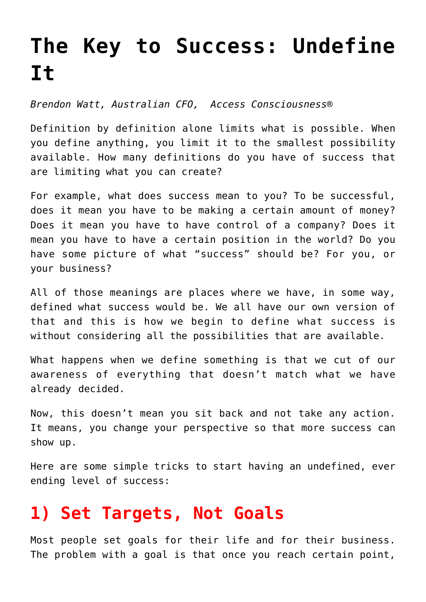## **[The Key to Success: Undefine](https://www.commpro.biz/the-key-to-success-undefine-it/) [It](https://www.commpro.biz/the-key-to-success-undefine-it/)**

*Brendon Watt, Australian CFO, [Access Consciousness®](https://www.accessconsciousness.com)*

Definition by definition alone limits what is possible. When you define anything, you limit it to the smallest possibility available. How many definitions do you have of success that are limiting what you can create?

For example, what does success mean to you? To be successful, does it mean you have to be making a certain amount of money? Does it mean you have to have control of a company? Does it mean you have to have a certain position in the world? Do you have some picture of what "success" should be? For you, or your business?

All of those meanings are places where we have, in some way, defined what success would be. We all have our own version of that and this is how we begin to define what success is without considering all the possibilities that are available.

What happens when we define something is that we cut of our awareness of everything that doesn't match what we have already decided.

Now, this doesn't mean you sit back and not take any action. It means, you change your perspective so that more [success](https://www.commpro.biz/?s=success) can show up.

Here are some simple tricks to start having an undefined, ever ending level of success:

## **1) Set Targets, Not Goals**

Most people set goals for their life and for their business. The problem with a goal is that once you reach certain point,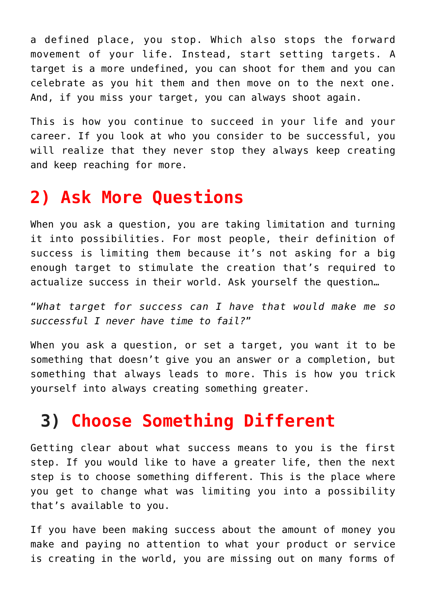a defined place, you stop. Which also stops the forward movement of your life. Instead, start setting targets. A target is a more undefined, you can shoot for them and you can celebrate as you hit them and then move on to the next one. And, if you miss your target, you can always shoot again.

This is how you continue to succeed in your life and your career. If you look at who you consider to be successful, you will realize that they never stop they always keep creating and keep reaching for more.

## **2) Ask More Questions**

When you ask a question, you are taking limitation and turning it into possibilities. For most people, their definition of success is limiting them because it's not asking for a big enough target to stimulate the creation that's required to actualize success in their world. Ask yourself the question…

"*What target for success can I have that would make me so successful I never have time to fail?*"

When you ask a question, or set a target, you want it to be something that doesn't give you an answer or a completion, but something that always leads to more. This is how you trick yourself into always creating something greater.

## **3) Choose Something Different**

Getting clear about what success means to you is the first step. If you would like to have a greater life, then the next step is to choose something different. This is the place where you get to change what was limiting you into a possibility that's available to you.

If you have been making success about the amount of money you make and paying no attention to what your product or service is creating in the world, you are missing out on many forms of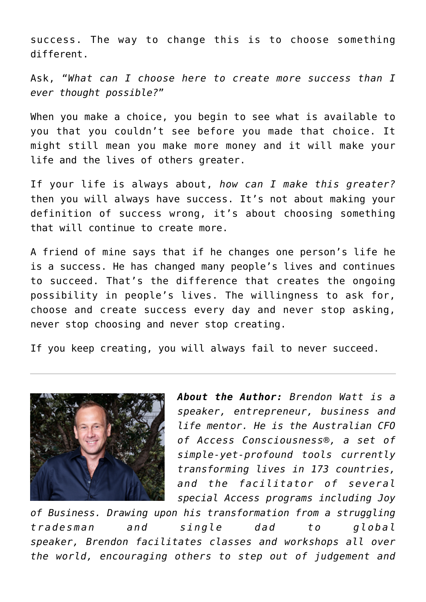success. The way to change this is to choose something different.

Ask, "*What can I choose here to create more success than I ever thought possible?*"

When you make a choice, you begin to see what is available to you that you couldn't see before you made that choice. It might still mean you make more money and it will make your life and the lives of others greater.

If your life is always about, *how can I make this greater?* then you will always have success. It's not about making your definition of success wrong, it's about choosing something that will continue to create more.

A friend of mine says that if he changes one person's life he is a success. He has changed many people's lives and continues to succeed. That's the difference that creates the ongoing possibility in people's lives. The willingness to ask for, choose and create success every day and never stop asking, never stop choosing and never stop creating.

If you keep creating, you will always fail to never succeed.



*About the Author: [Brendon Watt](https://brendonwatt.com/) is a speaker, entrepreneur, business and life mentor. He is the Australian CFO of [Access Consciousness](https://www.accessconsciousness.com)®, a set of simple-yet-profound tools currently transforming lives in 173 countries, and the facilitator of several special Access programs including [Joy](https://www.joyofbusiness.com)*

*[of Business.](https://www.joyofbusiness.com) Drawing upon his transformation from a struggling tradesman and single dad to global speaker, Brendon facilitates classes and workshops all over the world, encouraging others to step out of judgement and*